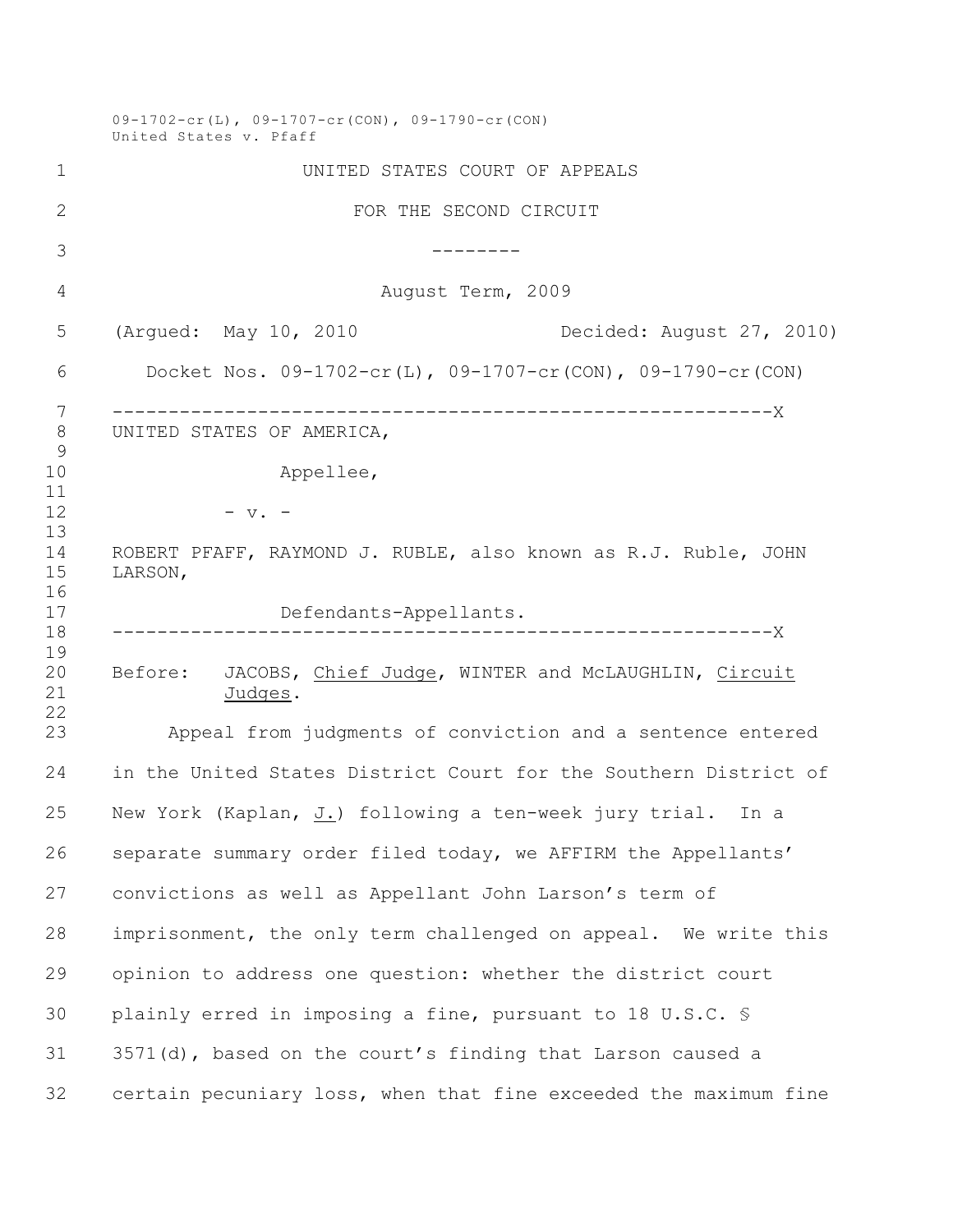09-1702-cr(L), 09-1707-cr(CON), 09-1790-cr(CON) United States v. Pfaff UNITED STATES COURT OF APPEALS FOR THE SECOND CIRCUIT -------- August Term, 2009 (Argued: May 10, 2010 Decided: August 27, 2010) Docket Nos. 09-1702-cr(L), 09-1707-cr(CON), 09-1790-cr(CON) -----------------------------------------------------------X UNITED STATES OF AMERICA, 10 Appellee, - v. - ROBERT PFAFF, RAYMOND J. RUBLE, also known as R.J. Ruble, JOHN LARSON, Defendants-Appellants. -----------------------------------------------------------X 20 Before: JACOBS, Chief Judge, WINTER and McLAUGHLIN, Circuit<br>21 Judges. Judges. Appeal from judgments of conviction and a sentence entered in the United States District Court for the Southern District of New York (Kaplan, J.) following a ten-week jury trial. In a separate summary order filed today, we AFFIRM the Appellants' convictions as well as Appellant John Larson's term of imprisonment, the only term challenged on appeal. We write this opinion to address one question: whether the district court plainly erred in imposing a fine, pursuant to 18 U.S.C. § 3571(d), based on the court's finding that Larson caused a certain pecuniary loss, when that fine exceeded the maximum fine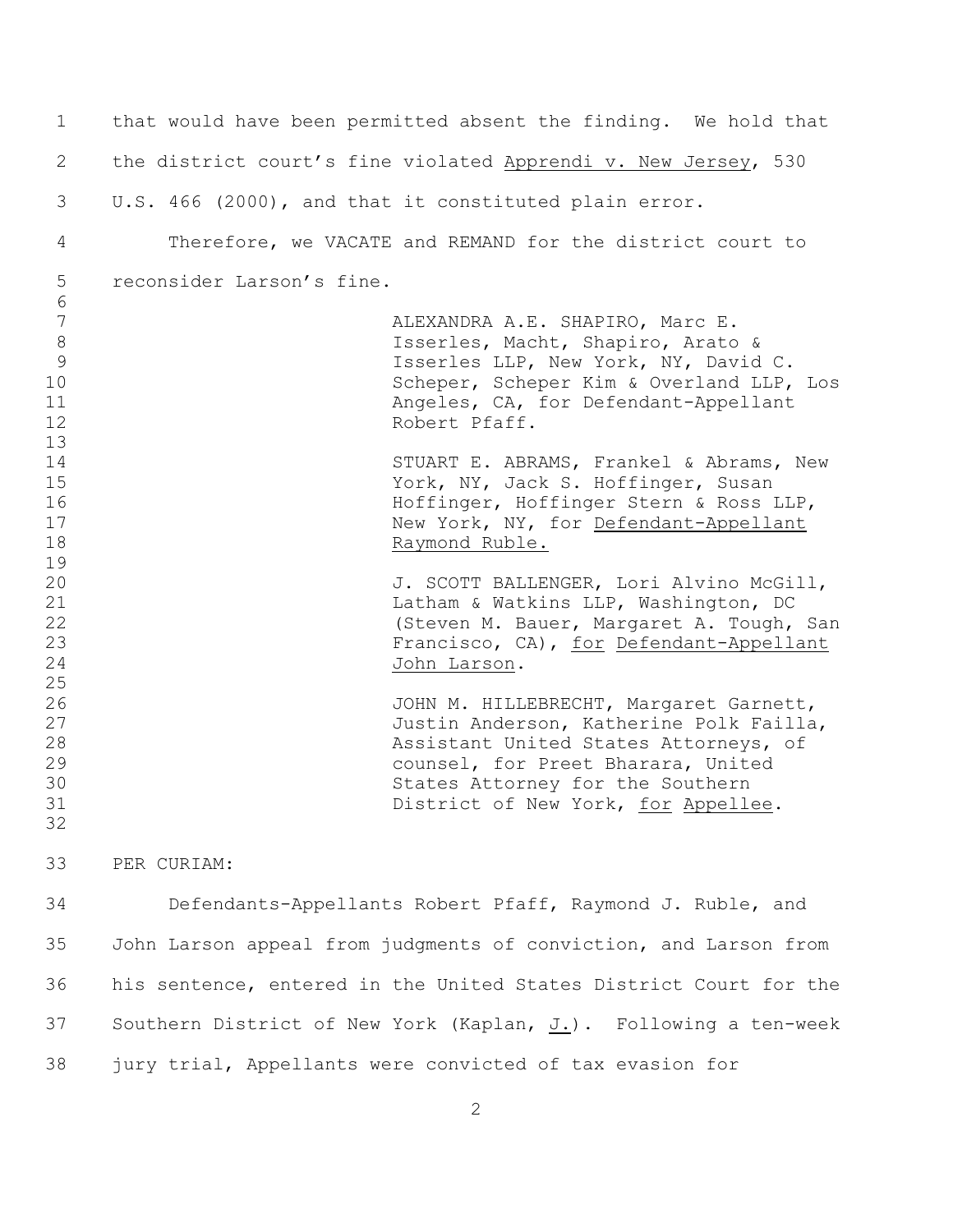| 1               | that would have been permitted absent the finding. We hold that   |  |
|-----------------|-------------------------------------------------------------------|--|
| 2               | the district court's fine violated Apprendi v. New Jersey, 530    |  |
| 3               | U.S. 466 (2000), and that it constituted plain error.             |  |
| 4               | Therefore, we VACATE and REMAND for the district court to         |  |
| 5               | reconsider Larson's fine.                                         |  |
| 6               |                                                                   |  |
| $7\phantom{.0}$ | ALEXANDRA A.E. SHAPIRO, Marc E.                                   |  |
| $8\,$           | Isserles, Macht, Shapiro, Arato &                                 |  |
| 9               | Isserles LLP, New York, NY, David C.                              |  |
| 10              | Scheper, Scheper Kim & Overland LLP, Los                          |  |
| 11              | Angeles, CA, for Defendant-Appellant                              |  |
| 12              | Robert Pfaff.                                                     |  |
| 13              |                                                                   |  |
| 14              | STUART E. ABRAMS, Frankel & Abrams, New                           |  |
| 15              | York, NY, Jack S. Hoffinger, Susan                                |  |
| 16              | Hoffinger, Hoffinger Stern & Ross LLP,                            |  |
| 17              | New York, NY, for Defendant-Appellant                             |  |
| 18              | Raymond Ruble.                                                    |  |
| 19              |                                                                   |  |
| 20              | J. SCOTT BALLENGER, Lori Alvino McGill,                           |  |
| 21              | Latham & Watkins LLP, Washington, DC                              |  |
| 22              | (Steven M. Bauer, Margaret A. Tough, San                          |  |
| 23              | Francisco, CA), for Defendant-Appellant                           |  |
| 24              | John Larson.                                                      |  |
| 25              |                                                                   |  |
| 26              | JOHN M. HILLEBRECHT, Margaret Garnett,                            |  |
| 27              | Justin Anderson, Katherine Polk Failla,                           |  |
| 28              | Assistant United States Attorneys, of                             |  |
| 29              | counsel, for Preet Bharara, United                                |  |
| 30              | States Attorney for the Southern                                  |  |
| 31              | District of New York, for Appellee.                               |  |
| 32              |                                                                   |  |
| 33              | PER CURIAM:                                                       |  |
| 34              | Defendants-Appellants Robert Pfaff, Raymond J. Ruble, and         |  |
| 35              | John Larson appeal from judgments of conviction, and Larson from  |  |
| 36              | his sentence, entered in the United States District Court for the |  |
| 37              | Southern District of New York (Kaplan, J.). Following a ten-week  |  |

jury trial, Appellants were convicted of tax evasion for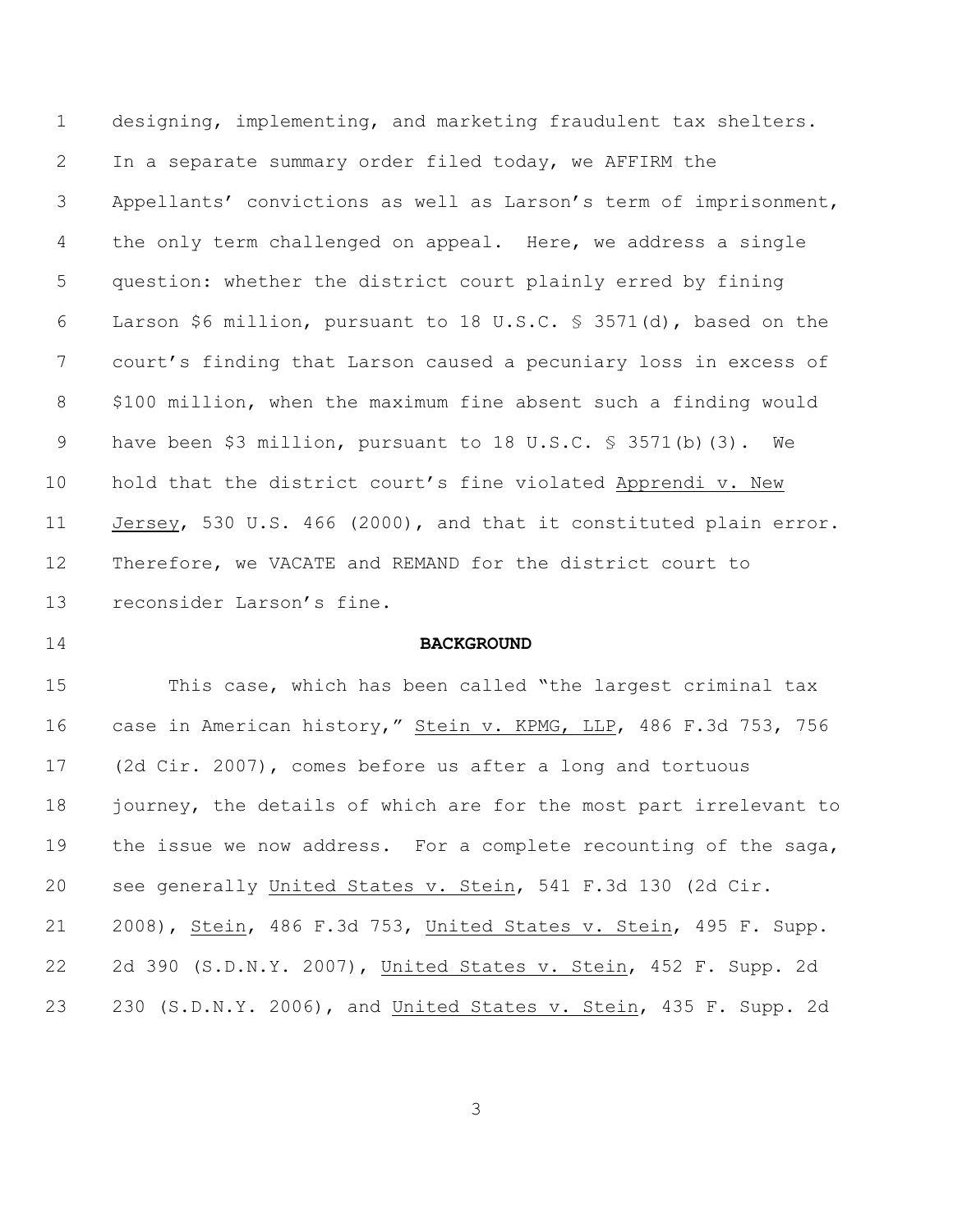designing, implementing, and marketing fraudulent tax shelters. In a separate summary order filed today, we AFFIRM the Appellants' convictions as well as Larson's term of imprisonment, 4 the only term challenged on appeal. Here, we address a single question: whether the district court plainly erred by fining Larson \$6 million, pursuant to 18 U.S.C. § 3571(d), based on the court's finding that Larson caused a pecuniary loss in excess of \$100 million, when the maximum fine absent such a finding would 9 have been \$3 million, pursuant to 18 U.S.C. § 3571(b)(3). We 10 hold that the district court's fine violated Apprendi v. New Jersey, 530 U.S. 466 (2000), and that it constituted plain error. Therefore, we VACATE and REMAND for the district court to reconsider Larson's fine.

## **BACKGROUND**

 This case, which has been called "the largest criminal tax case in American history," Stein v. KPMG, LLP, 486 F.3d 753, 756 (2d Cir. 2007), comes before us after a long and tortuous 18 journey, the details of which are for the most part irrelevant to 19 the issue we now address. For a complete recounting of the saga, see generally United States v. Stein, 541 F.3d 130 (2d Cir. 2008), Stein, 486 F.3d 753, United States v. Stein, 495 F. Supp. 2d 390 (S.D.N.Y. 2007), United States v. Stein, 452 F. Supp. 2d 230 (S.D.N.Y. 2006), and United States v. Stein, 435 F. Supp. 2d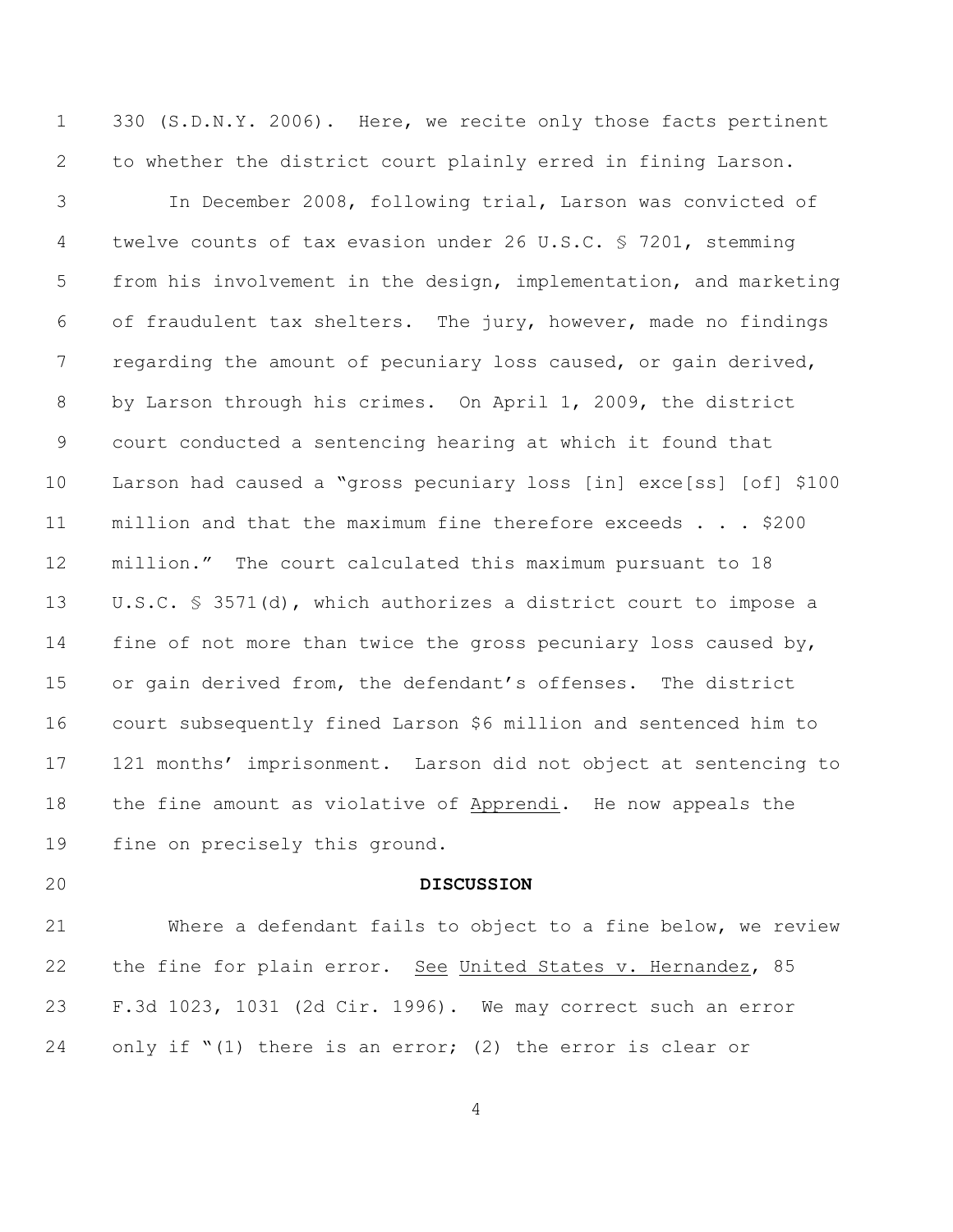330 (S.D.N.Y. 2006). Here, we recite only those facts pertinent to whether the district court plainly erred in fining Larson.

 In December 2008, following trial, Larson was convicted of twelve counts of tax evasion under 26 U.S.C. § 7201, stemming from his involvement in the design, implementation, and marketing of fraudulent tax shelters. The jury, however, made no findings 7 regarding the amount of pecuniary loss caused, or gain derived, by Larson through his crimes. On April 1, 2009, the district court conducted a sentencing hearing at which it found that Larson had caused a "gross pecuniary loss [in] exce[ss] [of] \$100 million and that the maximum fine therefore exceeds . . . \$200 million." The court calculated this maximum pursuant to 18 U.S.C. § 3571(d), which authorizes a district court to impose a 14 fine of not more than twice the gross pecuniary loss caused by, or gain derived from, the defendant's offenses. The district court subsequently fined Larson \$6 million and sentenced him to 121 months' imprisonment. Larson did not object at sentencing to the fine amount as violative of Apprendi. He now appeals the fine on precisely this ground.

## **DISCUSSION**

 Where a defendant fails to object to a fine below, we review 22 the fine for plain error. See United States v. Hernandez, 85 F.3d 1023, 1031 (2d Cir. 1996). We may correct such an error only if "(1) there is an error; (2) the error is clear or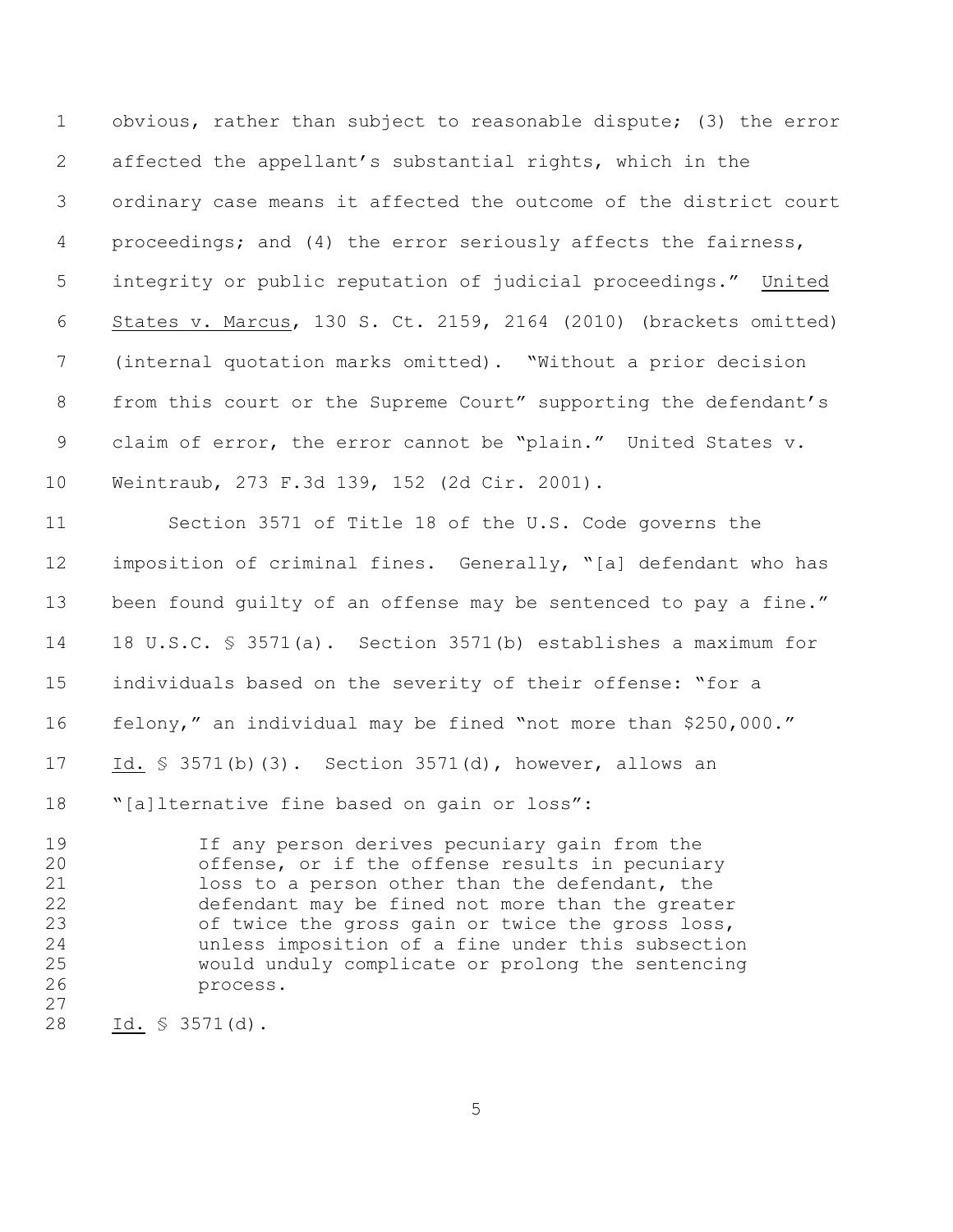obvious, rather than subject to reasonable dispute; (3) the error affected the appellant's substantial rights, which in the ordinary case means it affected the outcome of the district court proceedings; and (4) the error seriously affects the fairness, integrity or public reputation of judicial proceedings." United States v. Marcus, 130 S. Ct. 2159, 2164 (2010) (brackets omitted) (internal quotation marks omitted). "Without a prior decision from this court or the Supreme Court" supporting the defendant's claim of error, the error cannot be "plain." United States v. Weintraub, 273 F.3d 139, 152 (2d Cir. 2001).

 Section 3571 of Title 18 of the U.S. Code governs the imposition of criminal fines. Generally, "[a] defendant who has 13 been found quilty of an offense may be sentenced to pay a fine." 18 U.S.C. § 3571(a). Section 3571(b) establishes a maximum for individuals based on the severity of their offense: "for a felony," an individual may be fined "not more than \$250,000." 17 Id. § 3571(b)(3). Section 3571(d), however, allows an "[a]lternative fine based on gain or loss":

 If any person derives pecuniary gain from the offense, or if the offense results in pecuniary loss to a person other than the defendant, the defendant may be fined not more than the greater of twice the gross gain or twice the gross loss, unless imposition of a fine under this subsection would unduly complicate or prolong the sentencing process.

Id. § 3571(d).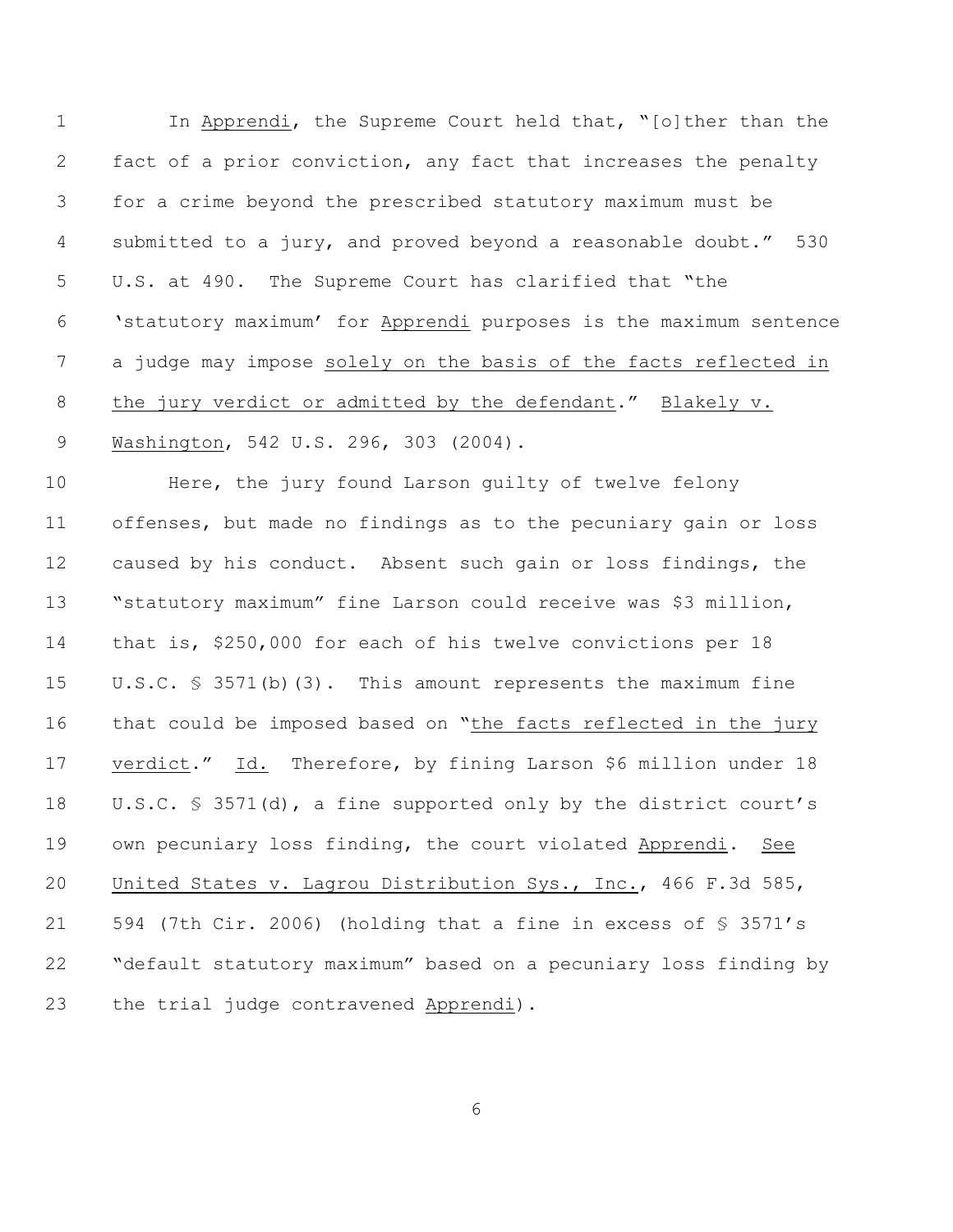In Apprendi, the Supreme Court held that, "[o]ther than the fact of a prior conviction, any fact that increases the penalty for a crime beyond the prescribed statutory maximum must be submitted to a jury, and proved beyond a reasonable doubt." 530 U.S. at 490. The Supreme Court has clarified that "the 'statutory maximum' for Apprendi purposes is the maximum sentence a judge may impose solely on the basis of the facts reflected in 8 the jury verdict or admitted by the defendant." Blakely v. Washington, 542 U.S. 296, 303 (2004).

 Here, the jury found Larson guilty of twelve felony offenses, but made no findings as to the pecuniary gain or loss caused by his conduct. Absent such gain or loss findings, the "statutory maximum" fine Larson could receive was \$3 million, that is, \$250,000 for each of his twelve convictions per 18 U.S.C. § 3571(b)(3). This amount represents the maximum fine that could be imposed based on "the facts reflected in the jury 17 verdict." Id. Therefore, by fining Larson \$6 million under 18 U.S.C. § 3571(d), a fine supported only by the district court's own pecuniary loss finding, the court violated Apprendi. See United States v. Lagrou Distribution Sys., Inc., 466 F.3d 585, 594 (7th Cir. 2006) (holding that a fine in excess of § 3571's "default statutory maximum" based on a pecuniary loss finding by the trial judge contravened Apprendi).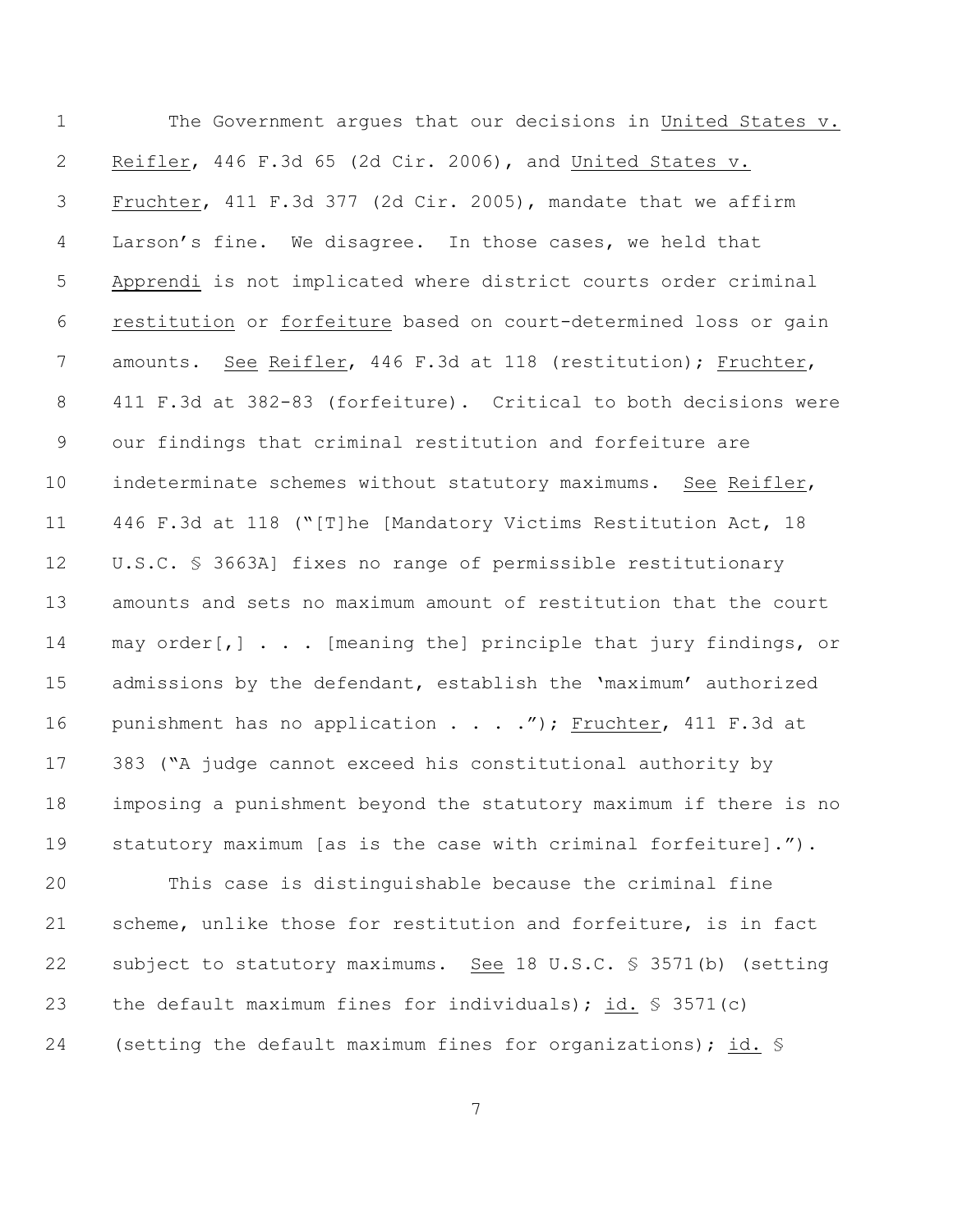The Government argues that our decisions in United States v. Reifler, 446 F.3d 65 (2d Cir. 2006), and United States v. 3 Fruchter, 411 F.3d 377 (2d Cir. 2005), mandate that we affirm Larson's fine. We disagree. In those cases, we held that Apprendi is not implicated where district courts order criminal restitution or forfeiture based on court-determined loss or gain amounts. See Reifler, 446 F.3d at 118 (restitution); Fruchter, 411 F.3d at 382-83 (forfeiture). Critical to both decisions were our findings that criminal restitution and forfeiture are indeterminate schemes without statutory maximums. See Reifler, 446 F.3d at 118 ("[T]he [Mandatory Victims Restitution Act, 18 U.S.C. § 3663A] fixes no range of permissible restitutionary amounts and sets no maximum amount of restitution that the court 14 may order[,] . . . [meaning the] principle that jury findings, or admissions by the defendant, establish the 'maximum' authorized 16 punishment has no application . . . ."); Fruchter, 411 F.3d at 383 ("A judge cannot exceed his constitutional authority by imposing a punishment beyond the statutory maximum if there is no statutory maximum [as is the case with criminal forfeiture]."). This case is distinguishable because the criminal fine scheme, unlike those for restitution and forfeiture, is in fact

 subject to statutory maximums. See 18 U.S.C. § 3571(b) (setting the default maximum fines for individuals); id. § 3571(c) (setting the default maximum fines for organizations); id. §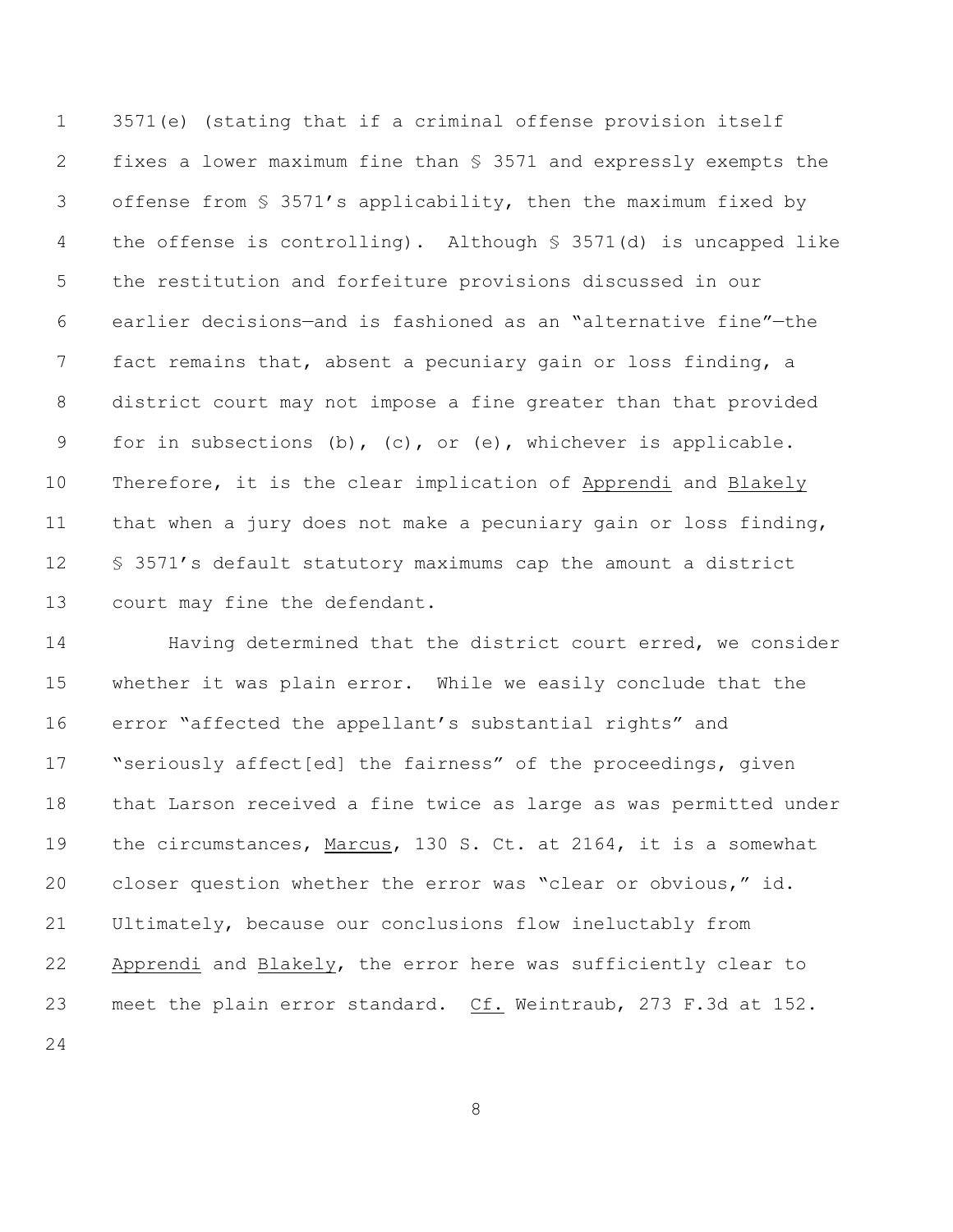3571(e) (stating that if a criminal offense provision itself fixes a lower maximum fine than § 3571 and expressly exempts the offense from § 3571's applicability, then the maximum fixed by the offense is controlling). Although § 3571(d) is uncapped like the restitution and forfeiture provisions discussed in our earlier decisions—and is fashioned as an "alternative fine"—the fact remains that, absent a pecuniary gain or loss finding, a district court may not impose a fine greater than that provided for in subsections (b), (c), or (e), whichever is applicable. Therefore, it is the clear implication of Apprendi and Blakely that when a jury does not make a pecuniary gain or loss finding, § 3571's default statutory maximums cap the amount a district court may fine the defendant.

14 Having determined that the district court erred, we consider whether it was plain error. While we easily conclude that the error "affected the appellant's substantial rights" and "seriously affect[ed] the fairness" of the proceedings, given that Larson received a fine twice as large as was permitted under the circumstances, Marcus, 130 S. Ct. at 2164, it is a somewhat closer question whether the error was "clear or obvious," id. Ultimately, because our conclusions flow ineluctably from Apprendi and Blakely, the error here was sufficiently clear to meet the plain error standard. Cf. Weintraub, 273 F.3d at 152.